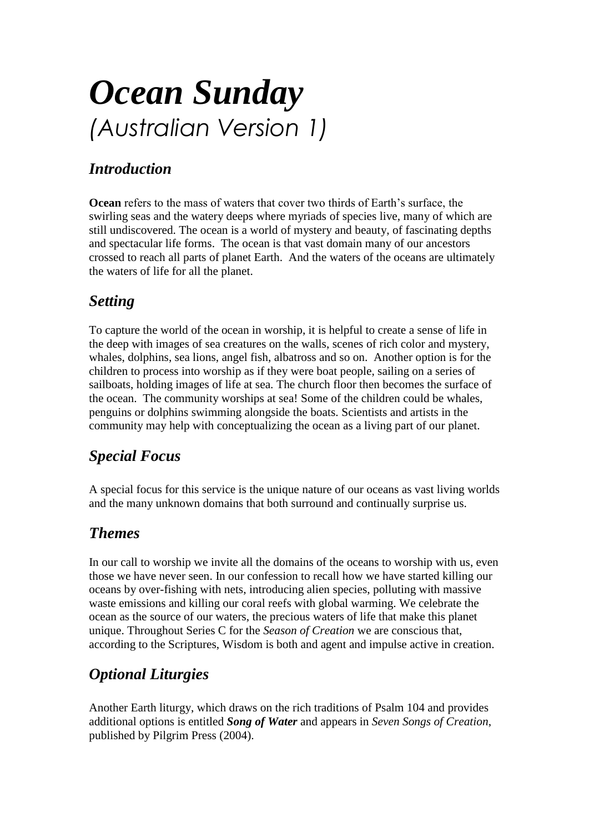# *Ocean Sunday (Australian Version 1)*

# *Introduction*

**Ocean** refers to the mass of waters that cover two thirds of Earth's surface, the swirling seas and the watery deeps where myriads of species live, many of which are still undiscovered. The ocean is a world of mystery and beauty, of fascinating depths and spectacular life forms. The ocean is that vast domain many of our ancestors crossed to reach all parts of planet Earth. And the waters of the oceans are ultimately the waters of life for all the planet.

# *Setting*

To capture the world of the ocean in worship, it is helpful to create a sense of life in the deep with images of sea creatures on the walls, scenes of rich color and mystery, whales, dolphins, sea lions, angel fish, albatross and so on. Another option is for the children to process into worship as if they were boat people, sailing on a series of sailboats, holding images of life at sea. The church floor then becomes the surface of the ocean. The community worships at sea! Some of the children could be whales, penguins or dolphins swimming alongside the boats. Scientists and artists in the community may help with conceptualizing the ocean as a living part of our planet.

# *Special Focus*

A special focus for this service is the unique nature of our oceans as vast living worlds and the many unknown domains that both surround and continually surprise us.

# *Themes*

In our call to worship we invite all the domains of the oceans to worship with us, even those we have never seen. In our confession to recall how we have started killing our oceans by over-fishing with nets, introducing alien species, polluting with massive waste emissions and killing our coral reefs with global warming. We celebrate the ocean as the source of our waters, the precious waters of life that make this planet unique. Throughout Series C for the *Season of Creation* we are conscious that, according to the Scriptures, Wisdom is both and agent and impulse active in creation.

# *Optional Liturgies*

Another Earth liturgy, which draws on the rich traditions of Psalm 104 and provides additional options is entitled *Song of Water* and appears in *Seven Songs of Creation*, published by Pilgrim Press (2004).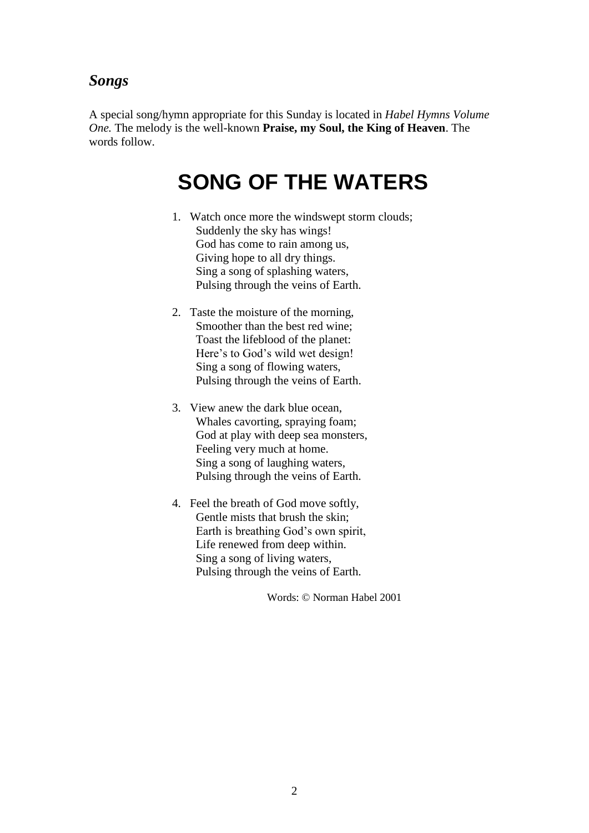#### *Songs*

A special song/hymn appropriate for this Sunday is located in *Habel Hymns Volume One.* The melody is the well-known **Praise, my Soul, the King of Heaven**. The words follow.

# **SONG OF THE WATERS**

- 1. Watch once more the windswept storm clouds; Suddenly the sky has wings! God has come to rain among us, Giving hope to all dry things. Sing a song of splashing waters, Pulsing through the veins of Earth.
- 2. Taste the moisture of the morning, Smoother than the best red wine; Toast the lifeblood of the planet: Here's to God's wild wet design! Sing a song of flowing waters, Pulsing through the veins of Earth.
- 3. View anew the dark blue ocean, Whales cavorting, spraying foam; God at play with deep sea monsters, Feeling very much at home. Sing a song of laughing waters, Pulsing through the veins of Earth.
- 4. Feel the breath of God move softly, Gentle mists that brush the skin; Earth is breathing God's own spirit, Life renewed from deep within. Sing a song of living waters, Pulsing through the veins of Earth.

Words: © Norman Habel 2001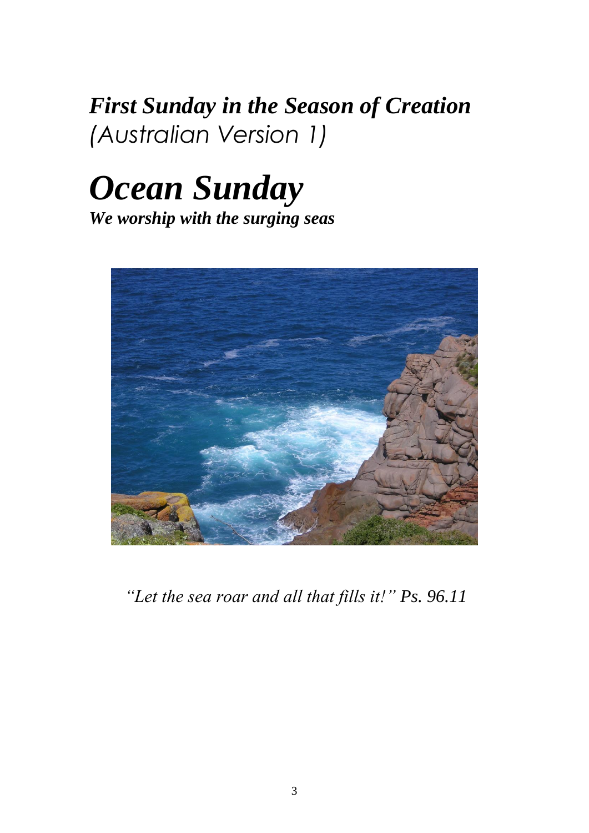# *First Sunday in the Season of Creation (Australian Version 1)*

# *Ocean Sunday*

*We worship with the surging seas*



*"Let the sea roar and all that fills it!" Ps. 96.11*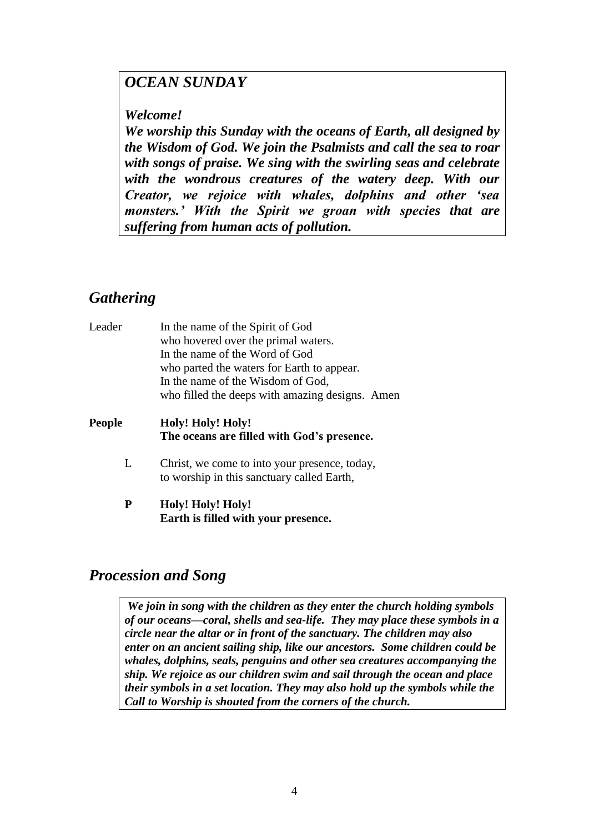# *OCEAN SUNDAY*

#### *Welcome!*

*We worship this Sunday with the oceans of Earth, all designed by the Wisdom of God. We join the Psalmists and call the sea to roar with songs of praise. We sing with the swirling seas and celebrate with the wondrous creatures of the watery deep. With our Creator, we rejoice with whales, dolphins and other 'sea monsters.' With the Spirit we groan with species that are suffering from human acts of pollution.* 

# *Gathering*

| Leader        | In the name of the Spirit of God<br>who hovered over the primal waters.<br>In the name of the Word of God<br>who parted the waters for Earth to appear.<br>In the name of the Wisdom of God,<br>who filled the deeps with amazing designs. Amen |
|---------------|-------------------------------------------------------------------------------------------------------------------------------------------------------------------------------------------------------------------------------------------------|
| <b>People</b> | Holy! Holy! Holy!<br>The oceans are filled with God's presence.                                                                                                                                                                                 |
| L             | Christ, we come to into your presence, today,<br>to worship in this sanctuary called Earth,                                                                                                                                                     |
| P             | Holy! Holy! Holy!<br>Earth is filled with your presence.                                                                                                                                                                                        |

#### *Procession and Song*

*We join in song with the children as they enter the church holding symbols of our oceans—coral, shells and sea-life. They may place these symbols in a circle near the altar or in front of the sanctuary. The children may also enter on an ancient sailing ship, like our ancestors. Some children could be whales, dolphins, seals, penguins and other sea creatures accompanying the ship. We rejoice as our children swim and sail through the ocean and place their symbols in a set location. They may also hold up the symbols while the Call to Worship is shouted from the corners of the church.*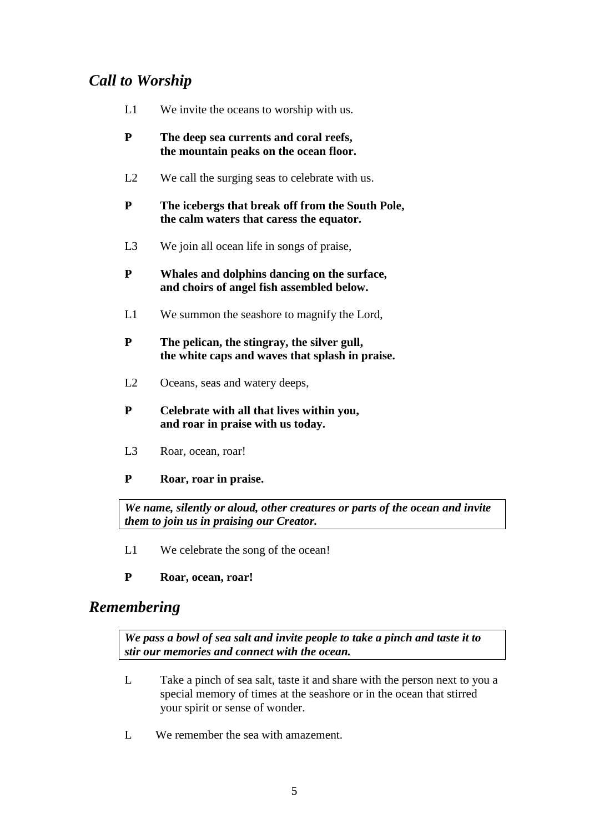# *Call to Worship*

- L1 We invite the oceans to worship with us.
- **P The deep sea currents and coral reefs, the mountain peaks on the ocean floor.**
- L2 We call the surging seas to celebrate with us.
- **P The icebergs that break off from the South Pole, the calm waters that caress the equator.**
- L3 We join all ocean life in songs of praise.
- **P Whales and dolphins dancing on the surface, and choirs of angel fish assembled below.**
- L1 We summon the seashore to magnify the Lord,
- **P The pelican, the stingray, the silver gull, the white caps and waves that splash in praise.**
- L2 Oceans, seas and watery deeps,
- **P Celebrate with all that lives within you, and roar in praise with us today.**
- L3 Roar, ocean, roar!
- **P Roar, roar in praise.**

*We name, silently or aloud, other creatures or parts of the ocean and invite them to join us in praising our Creator.*

- L1 We celebrate the song of the ocean!
- **P Roar, ocean, roar!**

#### *Remembering*

*We pass a bowl of sea salt and invite people to take a pinch and taste it to stir our memories and connect with the ocean.*

- L Take a pinch of sea salt, taste it and share with the person next to you a special memory of times at the seashore or in the ocean that stirred your spirit or sense of wonder.
- L We remember the sea with amazement.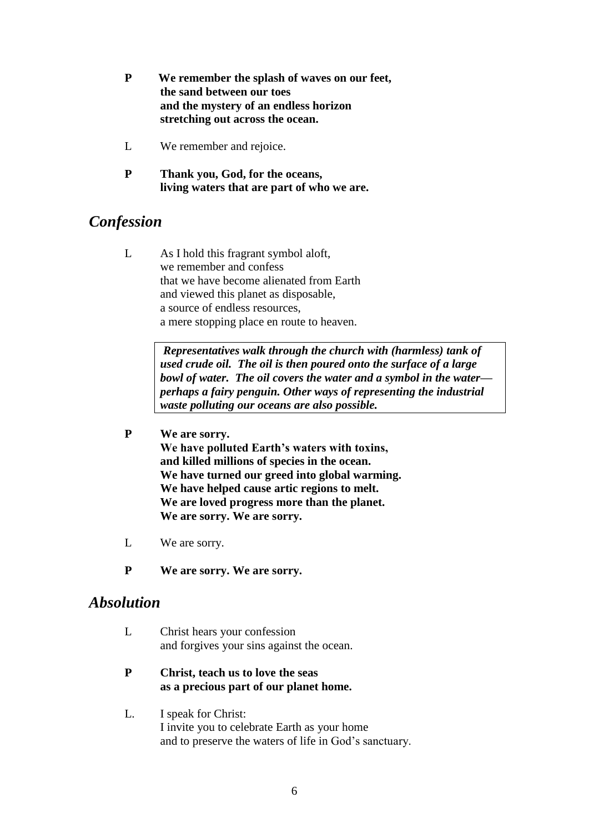- **P We remember the splash of waves on our feet, the sand between our toes and the mystery of an endless horizon stretching out across the ocean.**
- L We remember and rejoice.
- **P Thank you, God, for the oceans, living waters that are part of who we are.**

#### *Confession*

L As I hold this fragrant symbol aloft, we remember and confess that we have become alienated from Earth and viewed this planet as disposable, a source of endless resources, a mere stopping place en route to heaven.

> *Representatives walk through the church with (harmless) tank of used crude oil. The oil is then poured onto the surface of a large bowl of water. The oil covers the water and a symbol in the water perhaps a fairy penguin. Other ways of representing the industrial waste polluting our oceans are also possible.*

#### **P We are sorry.**

**We have polluted Earth's waters with toxins, and killed millions of species in the ocean. We have turned our greed into global warming. We have helped cause artic regions to melt. We are loved progress more than the planet. We are sorry. We are sorry.** 

- L We are sorry.
- **P We are sorry. We are sorry.**

#### *Absolution*

- L Christ hears your confession and forgives your sins against the ocean.
- **P Christ, teach us to love the seas as a precious part of our planet home.**
- L. I speak for Christ: I invite you to celebrate Earth as your home and to preserve the waters of life in God's sanctuary.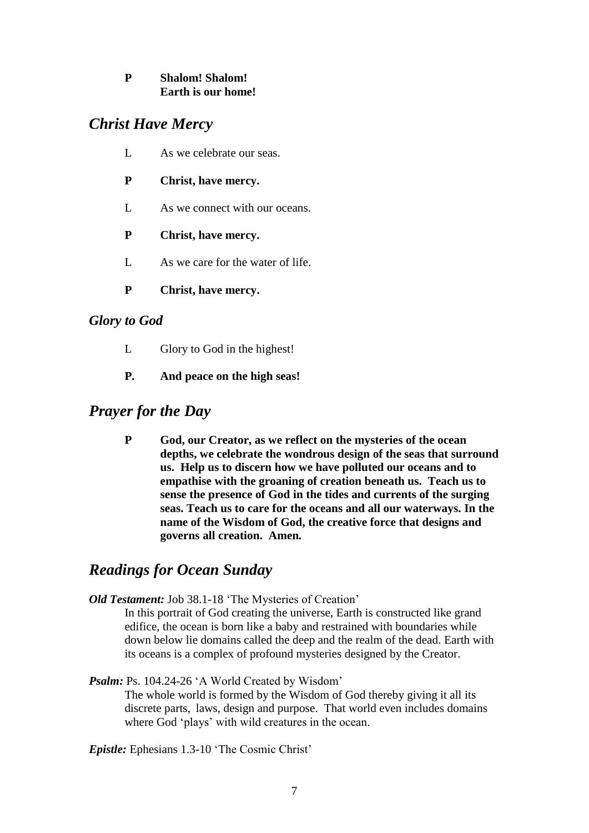#### **P Shalom! Shalom! Earth is our home!**

## *Christ Have Mercy*

- L As we celebrate our seas.
- **P Christ, have mercy.**
- L As we connect with our oceans.
- **P Christ, have mercy.**
- L As we care for the water of life.
- **P Christ, have mercy.**

#### *Glory to God*

- L Glory to God in the highest!
- **P. And peace on the high seas!**

#### *Prayer for the Day*

**P God, our Creator, as we reflect on the mysteries of the ocean depths, we celebrate the wondrous design of the seas that surround us. Help us to discern how we have polluted our oceans and to empathise with the groaning of creation beneath us. Teach us to sense the presence of God in the tides and currents of the surging seas. Teach us to care for the oceans and all our waterways. In the name of the Wisdom of God, the creative force that designs and governs all creation. Amen***.*

#### *Readings for Ocean Sunday*

*Old Testament:* Job 38.1-18 'The Mysteries of Creation'

In this portrait of God creating the universe, Earth is constructed like grand edifice, the ocean is born like a baby and restrained with boundaries while down below lie domains called the deep and the realm of the dead. Earth with its oceans is a complex of profound mysteries designed by the Creator.

#### Psalm: Ps. 104.24-26 'A World Created by Wisdom'

The whole world is formed by the Wisdom of God thereby giving it all its discrete parts, laws, design and purpose. That world even includes domains where God 'plays' with wild creatures in the ocean.

*Epistle:* Ephesians 1.3-10 'The Cosmic Christ'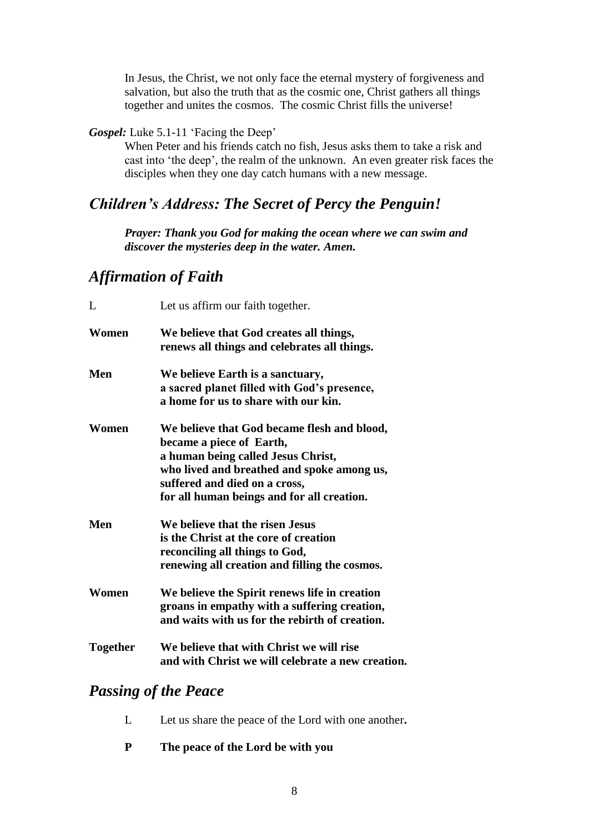In Jesus, the Christ, we not only face the eternal mystery of forgiveness and salvation, but also the truth that as the cosmic one, Christ gathers all things together and unites the cosmos. The cosmic Christ fills the universe!

#### *Gospel:* Luke 5.1-11 'Facing the Deep'

When Peter and his friends catch no fish, Jesus asks them to take a risk and cast into 'the deep', the realm of the unknown. An even greater risk faces the disciples when they one day catch humans with a new message.

# *Children's Address: The Secret of Percy the Penguin!*

*Prayer: Thank you God for making the ocean where we can swim and discover the mysteries deep in the water. Amen.*

#### *Affirmation of Faith*

| L               | Let us affirm our faith together.                                                                                                                                                                                                          |
|-----------------|--------------------------------------------------------------------------------------------------------------------------------------------------------------------------------------------------------------------------------------------|
| Women           | We believe that God creates all things,<br>renews all things and celebrates all things.                                                                                                                                                    |
| Men             | We believe Earth is a sanctuary,<br>a sacred planet filled with God's presence,<br>a home for us to share with our kin.                                                                                                                    |
| Women           | We believe that God became flesh and blood,<br>became a piece of Earth,<br>a human being called Jesus Christ,<br>who lived and breathed and spoke among us,<br>suffered and died on a cross,<br>for all human beings and for all creation. |
| Men             | We believe that the risen Jesus<br>is the Christ at the core of creation<br>reconciling all things to God,<br>renewing all creation and filling the cosmos.                                                                                |
| Women           | We believe the Spirit renews life in creation<br>groans in empathy with a suffering creation,<br>and waits with us for the rebirth of creation.                                                                                            |
| <b>Together</b> | We believe that with Christ we will rise<br>and with Christ we will celebrate a new creation.                                                                                                                                              |

#### *Passing of the Peace*

- L Let us share the peace of the Lord with one another**.**
- **P The peace of the Lord be with you**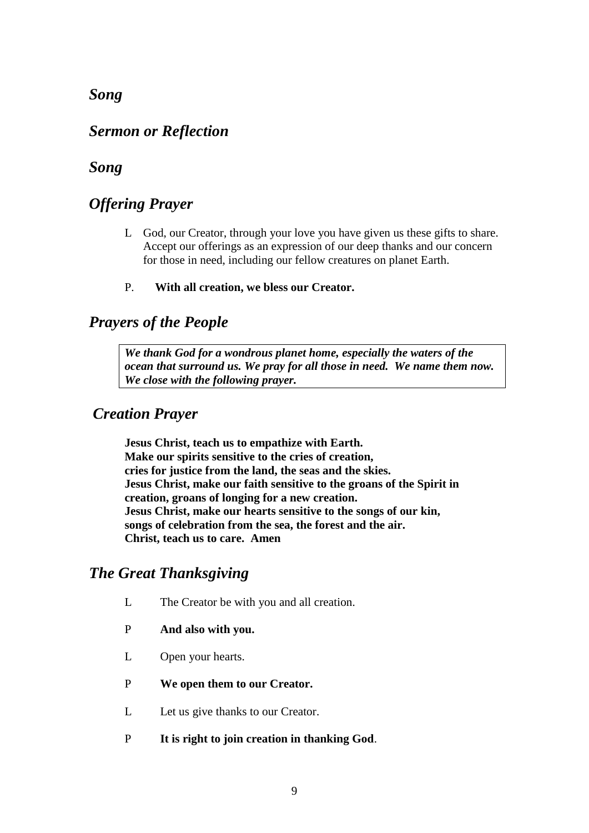#### *Song*

#### *Sermon or Reflection*

#### *Song*

#### *Offering Prayer*

- L God, our Creator, through your love you have given us these gifts to share. Accept our offerings as an expression of our deep thanks and our concern for those in need, including our fellow creatures on planet Earth.
- P. **With all creation, we bless our Creator.**

#### *Prayers of the People*

*We thank God for a wondrous planet home, especially the waters of the ocean that surround us. We pray for all those in need. We name them now. We close with the following prayer.*

#### *Creation Prayer*

**Jesus Christ, teach us to empathize with Earth. Make our spirits sensitive to the cries of creation, cries for justice from the land, the seas and the skies. Jesus Christ, make our faith sensitive to the groans of the Spirit in creation, groans of longing for a new creation. Jesus Christ, make our hearts sensitive to the songs of our kin, songs of celebration from the sea, the forest and the air. Christ, teach us to care. Amen**

#### *The Great Thanksgiving*

- L The Creator be with you and all creation.
- P **And also with you.**
- L Open your hearts.
- P **We open them to our Creator.**
- L Let us give thanks to our Creator.
- P **It is right to join creation in thanking God**.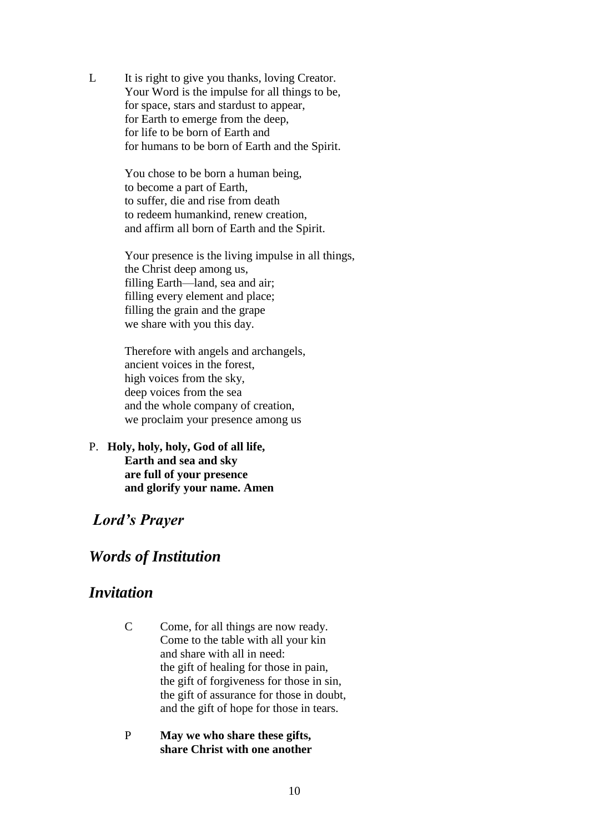L It is right to give you thanks, loving Creator. Your Word is the impulse for all things to be, for space, stars and stardust to appear, for Earth to emerge from the deep, for life to be born of Earth and for humans to be born of Earth and the Spirit.

> You chose to be born a human being, to become a part of Earth, to suffer, die and rise from death to redeem humankind, renew creation, and affirm all born of Earth and the Spirit.

Your presence is the living impulse in all things, the Christ deep among us, filling Earth—land, sea and air; filling every element and place; filling the grain and the grape we share with you this day.

Therefore with angels and archangels, ancient voices in the forest, high voices from the sky, deep voices from the sea and the whole company of creation, we proclaim your presence among us

P. **Holy, holy, holy, God of all life, Earth and sea and sky are full of your presence and glorify your name. Amen**

#### *Lord's Prayer*

#### *Words of Institution*

#### *Invitation*

- C Come, for all things are now ready. Come to the table with all your kin and share with all in need: the gift of healing for those in pain, the gift of forgiveness for those in sin, the gift of assurance for those in doubt, and the gift of hope for those in tears.
- P **May we who share these gifts, share Christ with one another**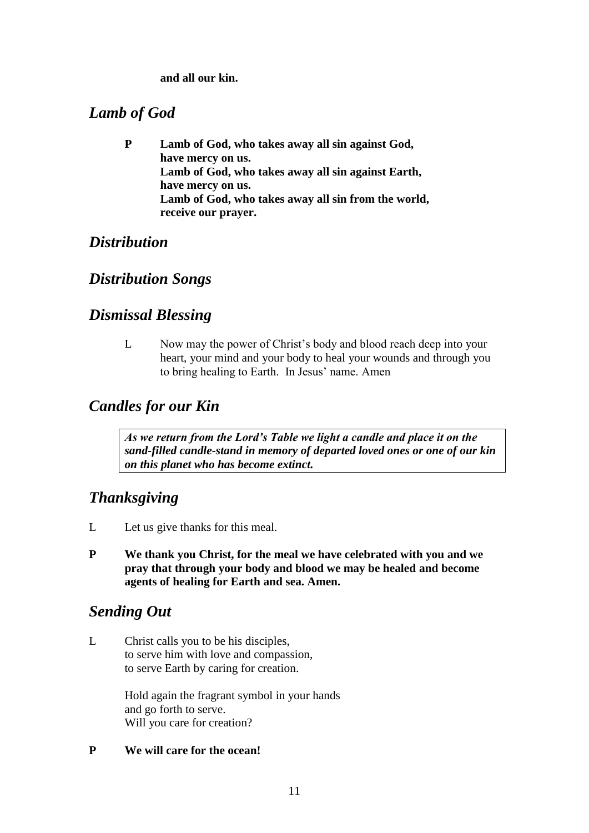**and all our kin.**

# *Lamb of God*

**P Lamb of God, who takes away all sin against God, have mercy on us. Lamb of God, who takes away all sin against Earth, have mercy on us. Lamb of God, who takes away all sin from the world, receive our prayer.**

# *Distribution*

# *Distribution Songs*

### *Dismissal Blessing*

L Now may the power of Christ's body and blood reach deep into your heart, your mind and your body to heal your wounds and through you to bring healing to Earth. In Jesus' name. Amen

# *Candles for our Kin*

*As we return from the Lord's Table we light a candle and place it on the sand-filled candle-stand in memory of departed loved ones or one of our kin on this planet who has become extinct.*

# *Thanksgiving*

- L Let us give thanks for this meal.
- **P We thank you Christ, for the meal we have celebrated with you and we pray that through your body and blood we may be healed and become agents of healing for Earth and sea. Amen.**

# *Sending Out*

L Christ calls you to be his disciples, to serve him with love and compassion, to serve Earth by caring for creation.

> Hold again the fragrant symbol in your hands and go forth to serve. Will you care for creation?

#### **P We will care for the ocean!**